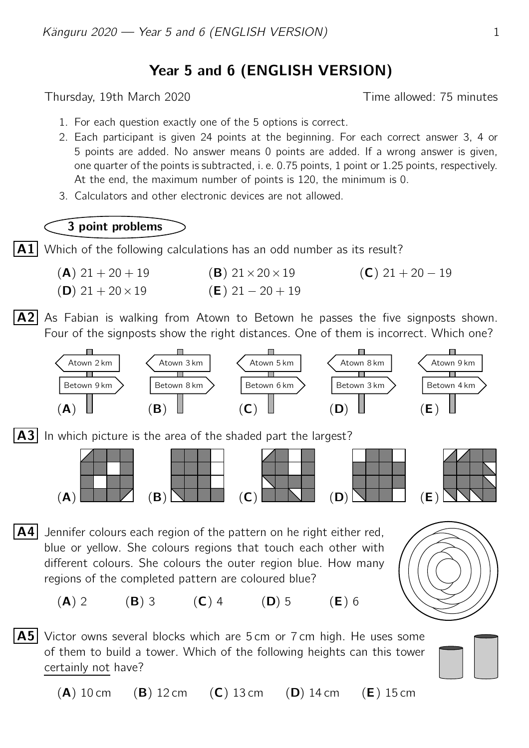## Year 5 and 6 (ENGLISH VERSION)

Thursday, 19th March 2020 **Thursday**, 19th March 2020

- 1. For each question exactly one of the 5 options is correct.
- 2. Each participant is given 24 points at the beginning. For each correct answer 3, 4 or 5 points are added. No answer means 0 points are added. If a wrong answer is given, one quarter of the points is subtracted, i. e. 0.75 points, 1 point or 1.25 points, respectively. At the end, the maximum number of points is 120, the minimum is 0.
- 3. Calculators and other electronic devices are not allowed.

## 3 point problems

 $|A1|$  Which of the following calculations has an odd number as its result?

- (A)  $21 + 20 + 19$  (B)  $21 \times 20 \times 19$  (C)  $21 + 20 19$ (D)  $21 + 20 \times 19$  (E)  $21 - 20 + 19$
- $|A2|$  As Fabian is walking from Atown to Betown he passes the five signposts shown. Four of the signposts show the right distances. One of them is incorrect. Which one?



 $|A3|$  In which picture is the area of the shaded part the largest?





 $\mathsf{A4}$  Jennifer colours each region of the pattern on he right either red, blue or yellow. She colours regions that touch each other with different colours. She colours the outer region blue. How many regions of the completed pattern are coloured blue?



(A) 2 (B) 3 (C) 4 (D) 5 (E) 6

**A5** Victor owns several blocks which are 5 cm or 7 cm high. He uses some of them to build a tower. Which of the following heights can this tower certainly not have?



 $(A)$  10 cm  $(B)$  12 cm  $(C)$  13 cm  $(D)$  14 cm  $(E)$  15 cm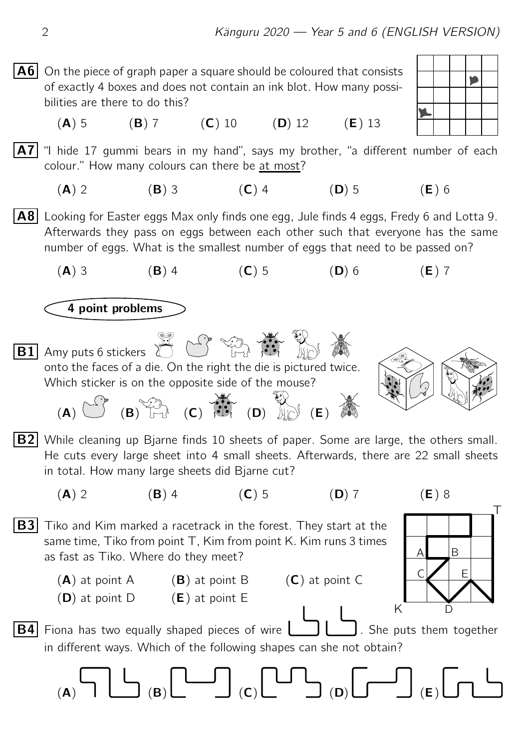$\mathbf{A6}$  On the piece of graph paper a square should be coloured that consists of exactly 4 boxes and does not contain an ink blot. How many possibilities are there to do this?

(A) 5 (B) 7 (C) 10 (D) 12 (E) 13

 $\mathsf{A7}|$  "I hide 17 gummi bears in my hand", says my brother, "a different number of each colour." How many colours can there be at most?

(A) 2 (B) 3 (C) 4 (D) 5 (E) 6

 $|{\bf A8}|$  Looking for Easter eggs Max only finds one egg, Jule finds 4 eggs, Fredy 6 and Lotta 9. Afterwards they pass on eggs between each other such that everyone has the same number of eggs. What is the smallest number of eggs that need to be passed on?

(A) 3 (B) 4 (C) 5 (D) 6 (E) 7

4 point problems



**B2** While cleaning up Bjarne finds 10 sheets of paper. Some are large, the others small. He cuts every large sheet into 4 small sheets. Afterwards, there are 22 small sheets in total. How many large sheets did Bjarne cut?

$$
(\mathbf{C})
$$

(A) 2 (B) 4 (C) 5 (D) 7 (E) 8



D

K

as fast as Tiko. Where do they meet?

 $(D)$  at point D  $(E)$  at point E

 $\overline{B3}$  Tiko and Kim marked a racetrack in the forest. They start at the

same time, Tiko from point T, Kim from point K. Kim runs 3 times



**B4** Fiona has two equally shaped pieces of wire  $\Box$  She puts them together in different ways. Which of the following shapes can she not obtain?

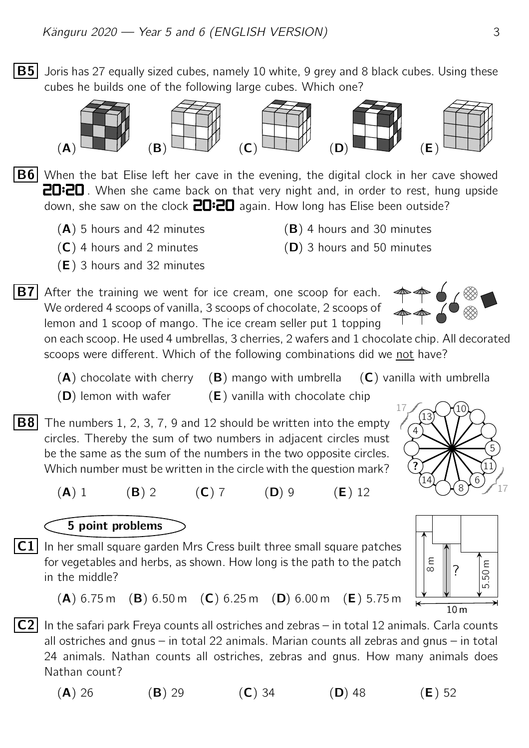**B5** Joris has 27 equally sized cubes, namely 10 white, 9 grey and 8 black cubes. Using these cubes he builds one of the following large cubes. Which one?









 $|B6|$  When the bat Elise left her cave in the evening, the digital clock in her cave showed **20:20**. When she came back on that very night and, in order to rest, hung upside down, she saw on the clock  $\frac{1}{10}$  again. How long has Elise been outside?

- $(A)$  5 hours and 42 minutes (B) 4 hours and 30 minutes
- 
- (E) 3 hours and 32 minutes
- 
- $(C)$  4 hours and 2 minutes (D) 3 hours and 50 minutes

**B7** After the training we went for ice cream, one scoop for each. We ordered 4 scoops of vanilla, 3 scoops of chocolate, 2 scoops of lemon and 1 scoop of mango. The ice cream seller put 1 topping

on each scoop. He used 4 umbrellas, 3 cherries, 2 wafers and 1 chocolate chip. All decorated scoops were different. Which of the following combinations did we not have?

- $(A)$  chocolate with cherry  $(B)$  mango with umbrella  $(C)$  vanilla with umbrella
	- $(D)$  lemon with wafer  $(E)$  vanilla with chocolate chip
- $\overline{B8}$  The numbers 1, 2, 3, 7, 9 and 12 should be written into the empty circles. Thereby the sum of two numbers in adjacent circles must be the same as the sum of the numbers in the two opposite circles. Which number must be written in the circle with the question mark?
- 10 13 4 ? 14 8 6 11 5  $\sqrt{2}$ {z  $\sqrt{2}$ 17 |  $\overline{\phantom{a}}$ } 17
- (A) 1 (B) 2 (C) 7 (D) 9 (E) 12

## 5 point problems

 $\overline{\textsf{C1}}\,$  In her small square garden Mrs Cress built three small square patches for vegetables and herbs, as shown. How long is the path to the patch in the middle?



 $(A)$  6.75 m  $(B)$  6.50 m  $(C)$  6.25 m  $(D)$  6.00 m  $(E)$  5.75 m

 $|C2|$  In the safari park Freya counts all ostriches and zebras – in total 12 animals. Carla counts all ostriches and gnus – in total 22 animals. Marian counts all zebras and gnus – in total 24 animals. Nathan counts all ostriches, zebras and gnus. How many animals does Nathan count?

(A) 26 (B) 29 (C) 34 (D) 48 (E) 52